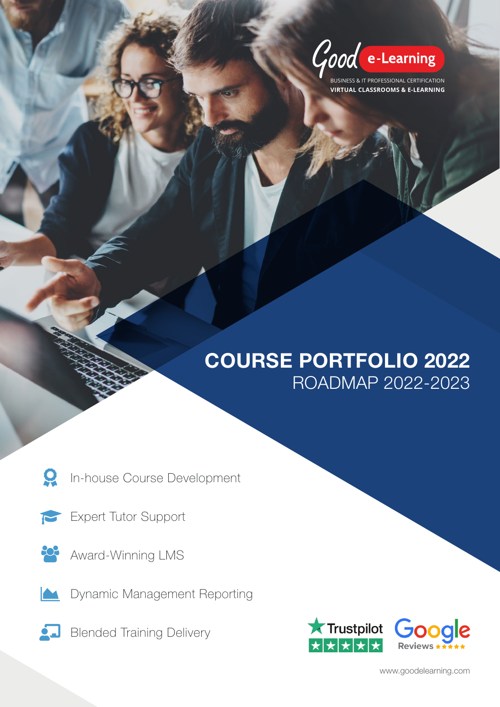Good e-Learning

**BUSINESS & IT PROFESSIONAL CERTIFICATION VIRTUAL CLASSROOMS & E-LEARNING**

# COURSE PORTFOLIO 2022 ROADMAP 2022-2023

Q In-house Course Development

- T Expert Tutor Support
- 202 Award-Winning LMS
- $\blacktriangle$ Dynamic Management Reporting
- <u>Ó LI</u> Blended Training Delivery



www.goodelearning.com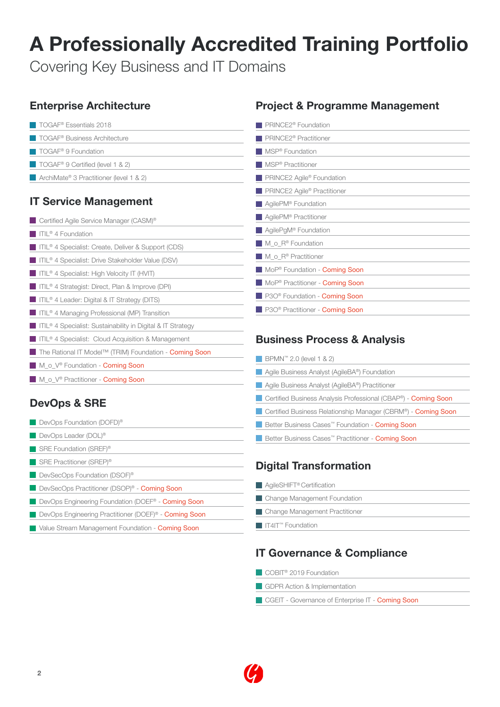# A Professionally Accredited Training Portfolio

Covering Key Business and IT Domains

# Enterprise Architecture

**TOGAF®** Essentials 2018 **TOGAF® Business Architecture** TOGAF<sup>®</sup> 9 Foundation ■ TOGAF<sup>®</sup> 9 Certified (level 1 & 2) ■ ArchiMate<sup>®</sup> 3 Practitioner (level 1 & 2)

## IT Service Management

| Certified Agile Service Manager (CASM) <sup>®</sup>                         |
|-----------------------------------------------------------------------------|
| $\blacksquare$ ITIL <sup>®</sup> 4 Foundation                               |
| <b>TIL®</b> 4 Specialist: Create, Deliver & Support (CDS)                   |
| TIL® 4 Specialist: Drive Stakeholder Value (DSV)                            |
| ITIL <sup>®</sup> 4 Specialist: High Velocity IT (HVIT)                     |
| <b>THE 4 Strategist: Direct, Plan &amp; Improve (DPI)</b>                   |
| $\blacksquare$ ITIL <sup>®</sup> 4 Leader: Digital & IT Strategy (DITS)     |
| TIL <sup>®</sup> 4 Managing Professional (MP) Transition                    |
| <b>THE SECT</b> 1 Specialist: Sustainability in Digital & IT Strategy       |
| TIL <sup>®</sup> 4 Specialist: Cloud Acquisition & Management               |
| ■ The Rational IT Model <sup>™</sup> (TRIM) Foundation - <b>Coming Soon</b> |
| M o V <sup>®</sup> Foundation - <b>Coming Soon</b>                          |

M\_o\_V<sup>®</sup> Practitioner - **Coming Soon** 

# DevOps & SRE

| DevOps Foundation (DOFD) <sup>®</sup> |  |
|---------------------------------------|--|
| DevOps Leader (DOL) <sup>®</sup>      |  |
| SRE Foundation (SREF) <sup>®</sup>    |  |
| SRE Practitioner (SREP) <sup>®</sup>  |  |

- DevSecOps Foundation (DSOF)<sup>®</sup>
- DevSecOps Practitioner (DSOP)<sup>®</sup> **Coming Soon**
- DevOps Engineering Foundation (DOEF<sup>®</sup> **Coming Soon**
- DevOps Engineering Practitioner (DOEF)<sup>®</sup> **Coming Soon**
- **Value Stream Management Foundation Coming Soon**

## Project & Programme Management

| PRINCE2 <sup>®</sup> Foundation                    |
|----------------------------------------------------|
| PRINCE2 <sup>®</sup> Practitioner                  |
| MSP® Foundation                                    |
| MSP <sup>®</sup> Practitioner                      |
| PRINCE2 Agile <sup>®</sup> Foundation              |
| PRINCE2 Agile <sup>®</sup> Practitioner            |
| AgilePM <sup>®</sup> Foundation                    |
| AgilePM <sup>®</sup> Practitioner                  |
| AgilePgM <sup>®</sup> Foundation                   |
| M_o_R® Foundation                                  |
| M $\circ$ R® Practitioner                          |
| MoP <sup>®</sup> Foundation - <b>Coming Soon</b>   |
| MoP <sup>®</sup> Practitioner - <b>Coming Soon</b> |
| P30 <sup>®</sup> Foundation - <b>Coming Soon</b>   |
| P30 <sup>®</sup> Practitioner - <b>Coming Soon</b> |
|                                                    |

## Business Process & Analysis

| BPMN <sup>™</sup> 2.0 (level 1 & 2)                                   |
|-----------------------------------------------------------------------|
| Agile Business Analyst (AgileBA®) Foundation                          |
| Agile Business Analyst (AgileBA®) Practitioner                        |
| Certified Business Analysis Professional (CBAP®) - <b>Coming Soon</b> |
| Certified Business Relationship Manager (CBRM®) - <b>Coming Soon</b>  |
| Better Business Cases <sup>**</sup> Foundation - <b>Coming Soon</b>   |
| Better Business Cases <sup>™</sup> Practitioner - <b>Coming Soon</b>  |
|                                                                       |

## Digital Transformation

| AqileSHIFT <sup>®</sup> Certification        |
|----------------------------------------------|
| Change Management Foundation                 |
| Change Management Practitioner               |
| $\blacksquare$ IT4IT <sup>m</sup> Foundation |
|                                              |

## IT Governance & Compliance

- COBIT<sup>®</sup> 2019 Foundation
- GDPR Action & Implementation
- CGEIT Governance of Enterprise IT Coming Soon

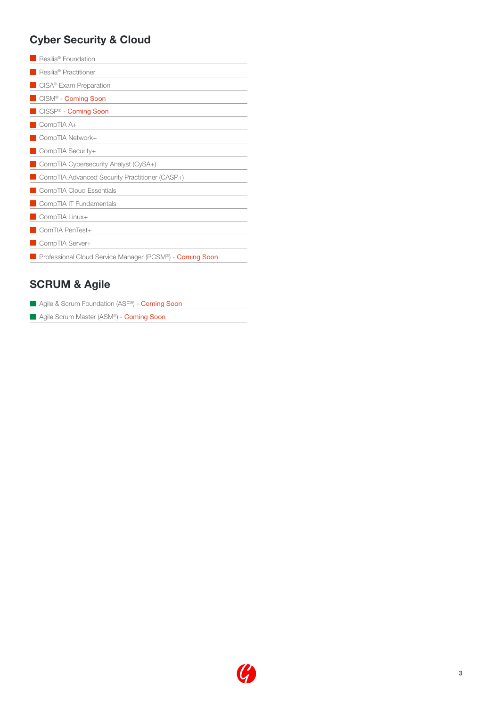## Cyber Security & Cloud

| Resilia <sup>®</sup> Foundation                          |
|----------------------------------------------------------|
| Resilia <sup>®</sup> Practitioner                        |
| CISA <sup>®</sup> Exam Preparation                       |
| CISM <sup>®</sup> - Coming Soon                          |
| <b>CISSP<sup>®</sup></b> - Coming Soon                   |
| $\Box$ CompTIA A+                                        |
| CompTIA Network+                                         |
| CompTIA Security+                                        |
| CompTIA Cybersecurity Analyst (CySA+)                    |
| CompTIA Advanced Security Practitioner (CASP+)           |
| CompTIA Cloud Essentials                                 |
| CompTIA IT Fundamentals                                  |
| CompTIA Linux+                                           |
| ComTIA PenTest+                                          |
| CompTIA Server+                                          |
| Professional Cloud Service Manager (PCSM®) - Coming Soon |

## SCRUM & Agile

|  |  |  | Agile & Scrum Foundation (ASF <sup>®</sup> ) - <b>Coming Soon</b> |  |  |  |
|--|--|--|-------------------------------------------------------------------|--|--|--|
|--|--|--|-------------------------------------------------------------------|--|--|--|

**Agile Scrum Master (ASM®) - Coming Soon** 

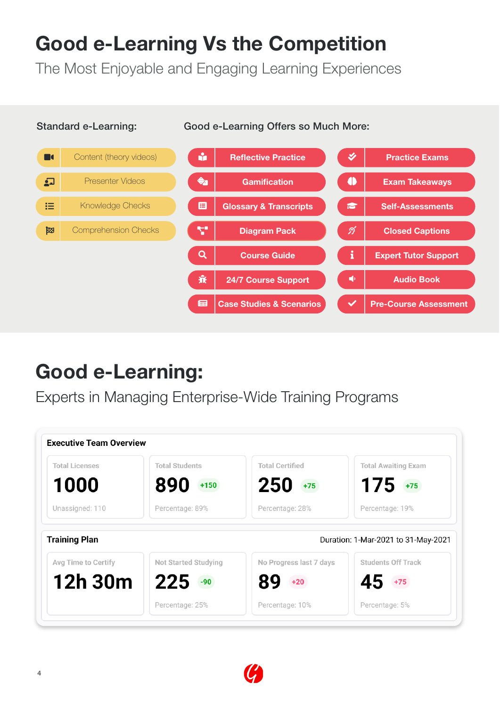# Good e-Learning Vs the Competition

The Most Enjoyable and Engaging Learning Experiences

### Standard e-Learning: Good e-Learning Offers so Much More:



# Good e-Learning:

Experts in Managing Enterprise-Wide Training Programs

| <b>Total Licenses</b>                       | <b>Total Students</b>       | <b>Total Certified</b>  | <b>Total Awaiting Exam</b>                                       |
|---------------------------------------------|-----------------------------|-------------------------|------------------------------------------------------------------|
| 1000                                        | 890<br>$+150$               | 250<br>$+75$            | $175 + 75$                                                       |
| Unassigned: 110                             | Percentage: 89%             | Percentage: 28%         | Percentage: 19%                                                  |
|                                             |                             |                         |                                                                  |
|                                             |                             |                         | Duration: 1-Mar-2021 to 31-May-2021<br><b>Students Off Track</b> |
| <b>Training Plan</b><br>Avg Time to Certify | <b>Not Started Studying</b> | No Progress last 7 days |                                                                  |
| 12h 30m                                     | 225<br>$-90$                | $+20$                   | 45<br>$+75$                                                      |

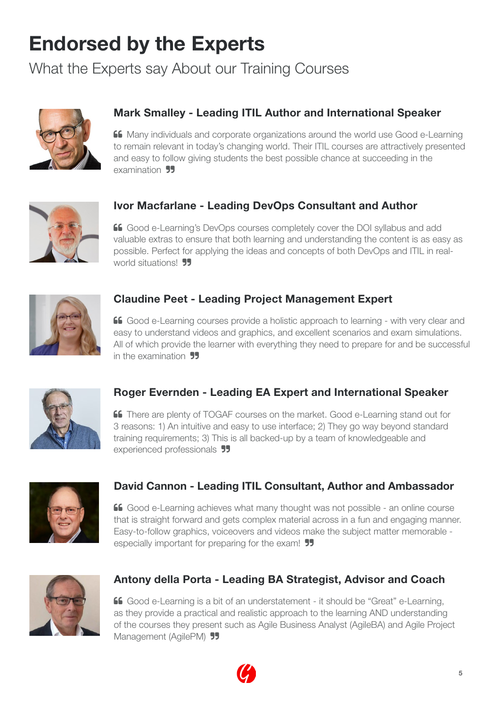# Endorsed by the Experts

What the Experts say About our Training Courses



## Mark Smalley - Leading ITIL Author and International Speaker

**66** Many individuals and corporate organizations around the world use Good e-Learning to remain relevant in today's changing world. Their ITIL courses are attractively presented and easy to follow giving students the best possible chance at succeeding in the examination **55** 



## Ivor Macfarlane - Leading DevOps Consultant and Author

 Good e-Learning's DevOps courses completely cover the DOI syllabus and add valuable extras to ensure that both learning and understanding the content is as easy as possible. Perfect for applying the ideas and concepts of both DevOps and ITIL in realworld situations! **99** 



### Claudine Peet - Leading Project Management Expert

 Good e-Learning courses provide a holistic approach to learning - with very clear and easy to understand videos and graphics, and excellent scenarios and exam simulations. All of which provide the learner with everything they need to prepare for and be successful in the examination **99** 



## Roger Evernden - Leading EA Expert and International Speaker

 There are plenty of TOGAF courses on the market. Good e-Learning stand out for 3 reasons: 1) An intuitive and easy to use interface; 2) They go way beyond standard training requirements; 3) This is all backed-up by a team of knowledgeable and experienced professionals 55



### David Cannon - Leading ITIL Consultant, Author and Ambassador

 Good e-Learning achieves what many thought was not possible - an online course that is straight forward and gets complex material across in a fun and engaging manner. Easy-to-follow graphics, voiceovers and videos make the subject matter memorable especially important for preparing for the exam! **99** 



### Antony della Porta - Leading BA Strategist, Advisor and Coach

 Good e-Learning is a bit of an understatement - it should be "Great" e-Learning, as they provide a practical and realistic approach to the learning AND understanding of the courses they present such as Agile Business Analyst (AgileBA) and Agile Project Management (AgilePM) **99**